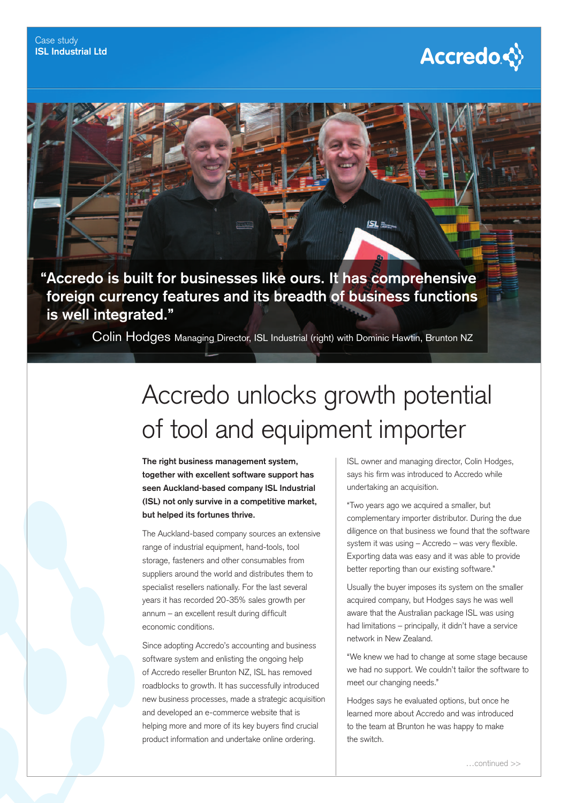## **Accredo☆**

**" Accredo is built for businesses like ours. It has comprehensive foreign currency features and its breadth of business functions is well integrated."**

Colin Hodges Managing Director, ISL Industrial (right) with Dominic Hawtin, Brunton NZ

# Accredo unlocks growth potential of tool and equipment importer

 $ISL \approx$ 

**The right business management system, together with excellent software support has seen Auckland-based company ISL Industrial (ISL) not only survive in a competitive market, but helped its fortunes thrive.** 

The Auckland-based company sources an extensive range of industrial equipment, hand-tools, tool storage, fasteners and other consumables from suppliers around the world and distributes them to specialist resellers nationally. For the last several years it has recorded 20-35% sales growth per  $annum - an excellent result during difficult$ economic conditions.

Since adopting Accredo's accounting and business software system and enlisting the ongoing help of Accredo reseller Brunton NZ, ISL has removed roadblocks to growth. It has successfully introduced new business processes, made a strategic acquisition and developed an e-commerce website that is helping more and more of its key buyers find crucial product information and undertake online ordering.

ISL owner and managing director, Colin Hodges, says his firm was introduced to Accredo while undertaking an acquisition.

"Two years ago we acquired a smaller, but complementary importer distributor. During the due diligence on that business we found that the software system it was using  $-$  Accredo  $-$  was very flexible. Exporting data was easy and it was able to provide better reporting than our existing software."

Usually the buyer imposes its system on the smaller acquired company, but Hodges says he was well aware that the Australian package ISL was using had limitations – principally, it didn't have a service network in New Zealand.

"We knew we had to change at some stage because we had no support. We couldn't tailor the software to meet our changing needs."

Hodges says he evaluated options, but once he learned more about Accredo and was introduced to the team at Brunton he was happy to make the switch.